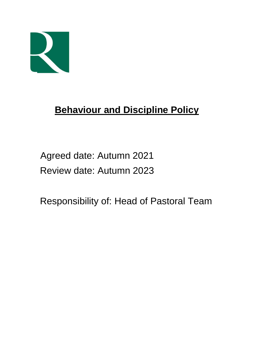

# **Behaviour and Discipline Policy**

 Agreed date: Autumn 2021 Review date: Autumn 2023

Responsibility of: Head of Pastoral Team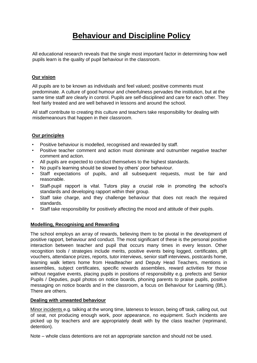# **Behaviour and Discipline Policy**

All educational research reveals that the single most important factor in determining how well pupils learn is the quality of pupil behaviour in the classroom.

# **Our vision**

All pupils are to be known as individuals and feel valued; positive comments must predominate. A culture of good humour and cheerfulness pervades the institution, but at the same time staff are clearly in control. Pupils are self-disciplined and care for each other. They feel fairly treated and are well behaved in lessons and around the school.

All staff contribute to creating this culture and teachers take responsibility for dealing with misdemeanours that happen in their classroom.

# **Our principles**

- Positive behaviour is modelled, recognised and rewarded by staff.
- Positive teacher comment and action must dominate and outnumber negative teacher comment and action.
- All pupils are expected to conduct themselves to the highest standards.
- No pupil's learning should be slowed by others' poor behaviour.
- Staff expectations of pupils, and all subsequent requests, must be fair and reasonable.
- Staff-pupil rapport is vital. Tutors play a crucial role in promoting the school's standards and developing rapport within their group.
- Staff take charge, and they challenge behaviour that does not reach the required standards.
- Staff take responsibility for positively affecting the mood and attitude of their pupils.

# **Modelling, Recognising and Rewarding**

The school employs an array of rewards, believing them to be pivotal in the development of positive rapport, behaviour and conduct. The most significant of these is the personal positive interaction between teacher and pupil that occurs many times in every lesson. Other recognition tools / strategies include merits, positive events being logged, certificates, gift vouchers, attendance prizes, reports, tutor interviews, senior staff interviews, postcards home, learning walk letters home from Headteacher and Deputy Head Teachers, mentions in assemblies, subject certificates, specific rewards assemblies, reward activities for those without negative events, placing pupils in positions of responsibility e.g. prefects and Senior Pupils / Deputies, pupil photos on notice boards, phoning parents to praise pupils, positive messaging on notice boards and in the classroom, a focus on Behaviour for Learning (BfL). There are others.

# **Dealing with unwanted behaviour**

Minor incidents e.g. talking at the wrong time, lateness to lesson, being off task, calling out, out of seat, not producing enough work, poor appearance, no equipment. Such incidents are picked up by teachers and are appropriately dealt with by the class teacher (reprimand, detention).

Note – whole class detentions are not an appropriate sanction and should not be used.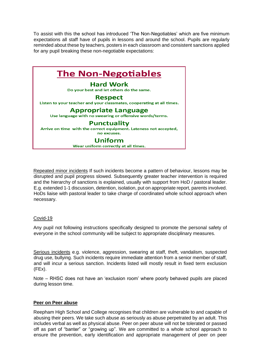To assist with this the school has introduced 'The Non-Negotiables' which are five minimum expectations all staff have of pupils in lessons and around the school. Pupils are regularly reminded about these by teachers, posters in each classroom and consistent sanctions applied for any pupil breaking these non-negotiable expectations:



Repeated minor incidents If such incidents become a pattern of behaviour, lessons may be disrupted and pupil progress slowed. Subsequently greater teacher intervention is required and the hierarchy of sanctions is explained, usually with support from HoD / pastoral leader. E.g. extended 1-1 discussion, detention, isolation, put on appropriate report, parents involved. HoDs liaise with pastoral leader to take charge of coordinated whole school approach when necessary.

# Covid-19

Any pupil not following instructions specifically designed to promote the personal safety of everyone in the school community will be subject to appropriate disciplinary measures.

Serious incidents e.g. violence, aggression, swearing at staff, theft, vandalism, suspected drug use, bullying. Such incidents require immediate attention from a senior member of staff, and will incur a serious sanction. Incidents listed will mostly result in fixed term exclusion  $(FEx)$ .

Note – RHSC does not have an 'exclusion room' where poorly behaved pupils are placed during lesson time.

#### **Peer on Peer abuse**

Reepham High School and College recognises that children are vulnerable to and capable of abusing their peers. We take such abuse as seriously as abuse perpetrated by an adult. This includes verbal as well as physical abuse. Peer on peer abuse will not be tolerated or passed off as part of "banter" or "growing up". We are committed to a whole school approach to ensure the prevention, early identification and appropriate management of peer on peer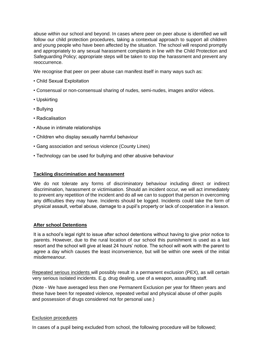abuse within our school and beyond. In cases where peer on peer abuse is identified we will follow our child protection procedures, taking a contextual approach to support all children and young people who have been affected by the situation. The school will respond promptly and appropriately to any sexual harassment complaints in line with the Child Protection and Safeguarding Policy; appropriate steps will be taken to stop the harassment and prevent any reoccurrence.

We recognise that peer on peer abuse can manifest itself in many ways such as:

- Child Sexual Exploitation
- Consensual or non-consensual sharing of nudes, semi-nudes, images and/or videos.
- Upskirting
- Bullying
- Radicalisation
- Abuse in intimate relationships
- Children who display sexually harmful behaviour
- Gang association and serious violence (County Lines)
- Technology can be used for bullying and other abusive behaviour

### **Tackling discrimination and harassment**

We do not tolerate any forms of discriminatory behaviour including direct or indirect discrimination, harassment or victimisation. Should an incident occur, we will act immediately to prevent any repetition of the incident and do all we can to support that person in overcoming any difficulties they may have. Incidents should be logged. Incidents could take the form of physical assault, verbal abuse, damage to a pupil's property or lack of cooperation in a lesson.

# **After school Detentions**

It is a school's legal right to issue after school detentions without having to give prior notice to parents. However, due to the rural location of our school this punishment is used as a last resort and the school will give at least 24 hours' notice. The school will work with the parent to agree a day which causes the least inconvenience, but will be within one week of the initial misdemeanour.

Repeated serious incidents will possibly result in a permanent exclusion (PEX), as will certain very serious isolated incidents. E.g. drug dealing, use of a weapon, assaulting staff.

(Note - We have averaged less then one Permanent Exclusion per year for fifteen years and these have been for repeated violence, repeated verbal and physical abuse of other pupils and possession of drugs considered not for personal use.)

#### Exclusion procedures

In cases of a pupil being excluded from school, the following procedure will be followed;